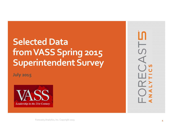# **Selected Data fromVASSSpring 2015 SuperintendentSurvey**

**July 2015**



Forecast5 Analytics, Inc. Copyright 2015 **1**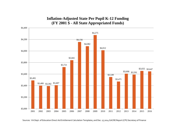#### **Inflation-Adjusted State Per Pupil K-12 Funding (FY 2001 \$ - All State Appropriated Funds)**



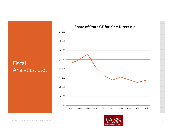

#### **Share of StateGF for K‐<sup>12</sup> DirectAid**



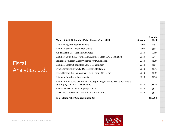# Fiscal Analytics, Ltd.

| <b>Major State K-12 Funding Policy Changes Since 2009</b>                      | <b>Session</b> | <b>Biennial</b><br><b>\$Mil.</b> |
|--------------------------------------------------------------------------------|----------------|----------------------------------|
| Cap Funding for Support Positions                                              | 2009           | $(\$754)$                        |
| Eliminate School Construction Grants                                           | 2009           | $(\$55)$                         |
| Adjust Health Care Participation Rates                                         | 2010           | $(\$269)$                        |
| Eliminate Equipment, Travel, Misc. Expenses From SOQ Calculation               | 2010           | $(\$244)$                        |
| Include \$0 Values in Linear Weighted Avg Calculation                          | 2010           | $(\$79)$                         |
| Eliminate Lottery Support for School Construction                              | 2010           | $(\$67)$                         |
| Drop Lowest Tier From K-3 Class Size Calculation                               | 2010           | $(\$36)$                         |
| Extend School Bus Replacement Cycle From 12 to 15 Yrs                          | 2010           | \$19)                            |
| Eliminate Enrollment Loss Assistance                                           | 2010           | \$16)                            |
| Eliminate Non-personal Inflation Update (not originally intended as permanent, |                |                                  |
| partially offset in 2012-14 biennium)                                          | 2012           | $(\$109)$                        |
| Reduce Nova COCA for support positions                                         | 2012           | $(\$28)$                         |
| Use Kindergarten as Proxy for 4-yr-old Pre-K Count                             | 2012           | (\$27)                           |
| <b>Total Major Policy Changes Since 2009</b>                                   |                | $(\$1,703)$                      |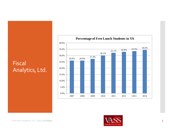# Fiscal Analytics, Ltd.





Forecast5 Analytics, Inc. Copyright6*pm*/44 **5**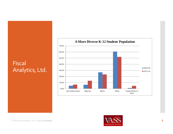# **Fiscal** Analytics, Ltd.



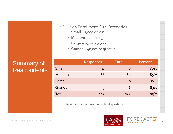### Summary of **Respondents**

|        | <b>Responses</b> | <b>Total</b> | <b>Percent</b> |
|--------|------------------|--------------|----------------|
| Small  | 31               | 36           | 86%            |
| Medium | 68               | 80           | 85%            |
| Large  | 8                | 10           | 80%            |
| Grande | 5                | 6            | 83%            |
| Total  | 112              | 132          | 85%            |

Note: not all divisions responded to all questions

Division Enrollment‐Size Categories:

**Small** – 2,000 or less

**Medium** – 2,001‐15,000

**Large** – 15,001‐40,000

**Grande** – 40,001 or greater



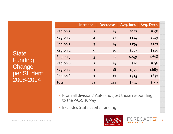**State** Funding **Change** per Student 2008-2014

|                 | <b>Increase</b> | <b>Decrease</b> | Avg. Incr. | Avg. Decr. |
|-----------------|-----------------|-----------------|------------|------------|
| Region 1        | $\mathbf{1}$    | 14              | \$357      | \$658      |
| Region 2        | $\overline{2}$  | 13              | \$114      | \$719      |
| Region 3        | 3               | 14              | \$334      | \$507      |
| Region 4        | 9               | 10              | \$423      | \$110      |
| Region 5        | 3               | 17              | \$249      | \$618      |
| Region 6        | $\mathbf{1}$    | 14              | \$10       | \$636      |
| Region 7        | $\mathbf{1}$    | 18              | \$375      | \$689      |
| <b>Region 8</b> | $\mathbf{1}$    | 11              | \$915      | \$657      |
| Total           | 21              | 111             | \$354      | \$593      |

 From all divisions' ASRs (not just those responding to the VASS survey)

Excludes State capital funding



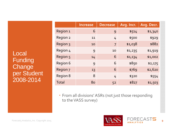Local Funding **Change** per Student 2008-2014

|          | <b>Increase</b> | <b>Decrease</b> | Avg. Incr. | Avg. Decr. |
|----------|-----------------|-----------------|------------|------------|
| Region 1 | 6               | 9               | \$514      | \$1,340    |
| Region 2 | 11              | 4               | \$500      | \$929      |
| Region 3 | 10              | $\overline{7}$  | \$1,038    | \$882      |
| Region 4 | 9               | 10              | \$1,235    | \$1,919    |
| Region 5 | 14              | 6               | \$1,134    | \$1,002    |
| Region 6 | 9               | 6               | \$850      | \$2,175    |
| Region 7 | 13              | 6               | \$769      | \$2,620    |
| Region 8 | 8               | 4               | \$320      | \$554      |
| Total    | 80              | 52              | \$827      | \$1,503    |

 From all divisions' ASRs (not just those responding to the VASS survey)



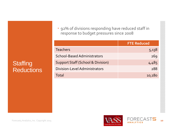### **Staffing** Reductions

 92% of divisions responding have reduced staff in response to budget pressures since 2008

|                                              | <b>FTE Reduced</b> |
|----------------------------------------------|--------------------|
| <b>Teachers</b>                              | 5,138              |
| <b>School-Based Administrators</b>           | 269                |
| <b>Support Staff (School &amp; Division)</b> | 4,485              |
| Division-Level Administrators                | 288                |
| Total                                        | 10,180             |



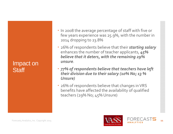#### Impact on **Staff**

- In 2008 the average percentage of staff with five or few years experience was 25.9%, with the number in 2014 dropping to 23.8%
- 26% of respondents believe that their *starting salary* enhances the number of teacher applicants, *45% believe that it deters, with the remaining 29% unsure*.
- *77% of respondents believe that teachers have left their division due to their salary (10% No; 13 % Unsure)*
- 26% of respondents believe that changes inVRS benefits have affected the availability of qualified teachers (29% No; 45% Unsure)

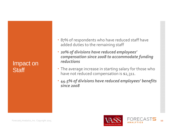#### Impact on **Staff**

- 87% of respondents who have reduced staff have added duties to the remaining staff
- *20% of divisions have reduced employees' compensation since 2008 to accommodate funding reductions*
- The average increase in starting salary for those who have not reduced compensation is \$2,311.
- *44.5% of divisions have reduced employees' benefits since 2008*



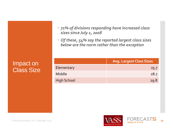Impact on Class Size

| · 71% of divisions responding have increased class |  |  |
|----------------------------------------------------|--|--|
| sizes since July 1, 2008                           |  |  |

 *Of these, 54% say the reported largest class sizes below are the norm rather than the exception*

|                    | <b>Avg. Largest Class Sizes</b> |
|--------------------|---------------------------------|
| Elementary         | 25.7                            |
| Middle             | 28.7                            |
| <b>High School</b> | 29.8                            |



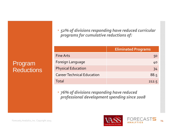Program Reductions  *52% of divisions responding have reduced curricular programs for cumulative reductions of:*

|                                   | <b>Eliminated Programs</b> |
|-----------------------------------|----------------------------|
| <b>Fine Arts</b>                  | 50                         |
| Foreign Language                  | 40                         |
| <b>Physical Education</b>         | 34                         |
| <b>Career Technical Education</b> | 88.5                       |
| Total                             | 212.5                      |

 *76% of divisions responding have reduced professional development spending since 2008*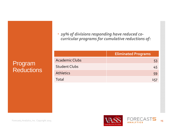Program **Reductions** 

|                       | <b>Eliminated Programs</b> |
|-----------------------|----------------------------|
| <b>Academic Clubs</b> | 53                         |
| <b>Student Clubs</b>  | 45                         |
| <b>Athletics</b>      | 59                         |
| Total                 |                            |

*curricular programs for cumulative reductions of:*

*29% of divisions responding have reduced co‐*